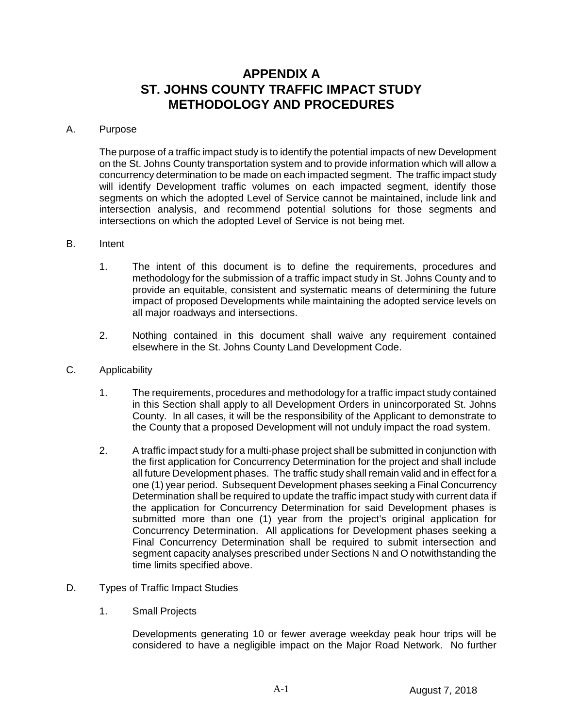# **APPENDIX A ST. JOHNS COUNTY TRAFFIC IMPACT STUDY METHODOLOGY AND PROCEDURES**

#### A. Purpose

The purpose of a traffic impact study is to identify the potential impacts of new Development on the St. Johns County transportation system and to provide information which will allow a concurrency determination to be made on each impacted segment. The traffic impact study will identify Development traffic volumes on each impacted segment, identify those segments on which the adopted Level of Service cannot be maintained, include link and intersection analysis, and recommend potential solutions for those segments and intersections on which the adopted Level of Service is not being met.

#### B. Intent

- 1. The intent of this document is to define the requirements, procedures and methodology for the submission of a traffic impact study in St. Johns County and to provide an equitable, consistent and systematic means of determining the future impact of proposed Developments while maintaining the adopted service levels on all major roadways and intersections.
- 2. Nothing contained in this document shall waive any requirement contained elsewhere in the St. Johns County Land Development Code.
- C. Applicability
	- 1. The requirements, procedures and methodology for a traffic impact study contained in this Section shall apply to all Development Orders in unincorporated St. Johns County. In all cases, it will be the responsibility of the Applicant to demonstrate to the County that a proposed Development will not unduly impact the road system.
	- 2. A traffic impact study for a multi-phase project shall be submitted in conjunction with the first application for Concurrency Determination for the project and shall include all future Development phases. The traffic study shall remain valid and in effect for a one (1) year period. Subsequent Development phases seeking a Final Concurrency Determination shall be required to update the traffic impact study with current data if the application for Concurrency Determination for said Development phases is submitted more than one (1) year from the project's original application for Concurrency Determination. All applications for Development phases seeking a Final Concurrency Determination shall be required to submit intersection and segment capacity analyses prescribed under Sections N and O notwithstanding the time limits specified above.
- D. Types of Traffic Impact Studies
	- 1. Small Projects

Developments generating 10 or fewer average weekday peak hour trips will be considered to have a negligible impact on the Major Road Network. No further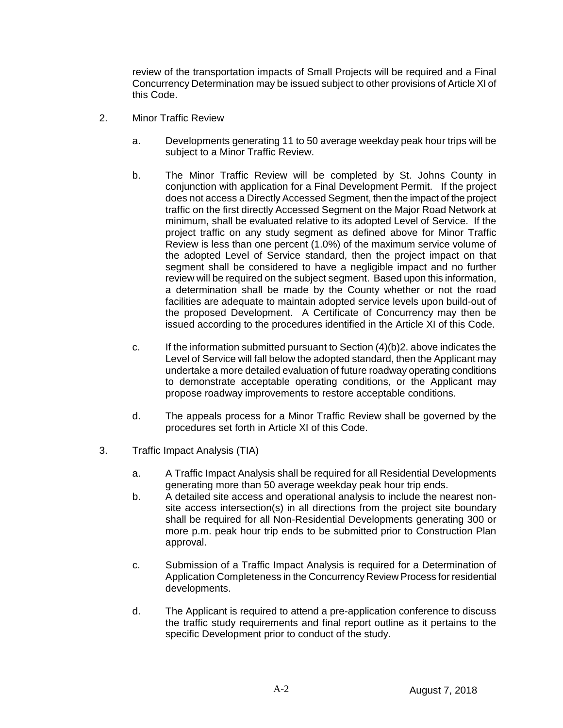review of the transportation impacts of Small Projects will be required and a Final Concurrency Determination may be issued subject to other provisions of Article XI of this Code.

- 2. Minor Traffic Review
	- a. Developments generating 11 to 50 average weekday peak hour trips will be subject to a Minor Traffic Review.
	- b. The Minor Traffic Review will be completed by St. Johns County in conjunction with application for a Final Development Permit. If the project does not access a Directly Accessed Segment, then the impact of the project traffic on the first directly Accessed Segment on the Major Road Network at minimum, shall be evaluated relative to its adopted Level of Service. If the project traffic on any study segment as defined above for Minor Traffic Review is less than one percent (1.0%) of the maximum service volume of the adopted Level of Service standard, then the project impact on that segment shall be considered to have a negligible impact and no further review will be required on the subject segment. Based upon this information, a determination shall be made by the County whether or not the road facilities are adequate to maintain adopted service levels upon build-out of the proposed Development. A Certificate of Concurrency may then be issued according to the procedures identified in the Article XI of this Code.
	- c. If the information submitted pursuant to Section  $(4)(b)2$ . above indicates the Level of Service will fall below the adopted standard, then the Applicant may undertake a more detailed evaluation of future roadway operating conditions to demonstrate acceptable operating conditions, or the Applicant may propose roadway improvements to restore acceptable conditions.
	- d. The appeals process for a Minor Traffic Review shall be governed by the procedures set forth in Article XI of this Code.
- 3. Traffic Impact Analysis (TIA)
	- a. A Traffic Impact Analysis shall be required for all Residential Developments generating more than 50 average weekday peak hour trip ends.
	- b. A detailed site access and operational analysis to include the nearest nonsite access intersection(s) in all directions from the project site boundary shall be required for all Non-Residential Developments generating 300 or more p.m. peak hour trip ends to be submitted prior to Construction Plan approval.
	- c. Submission of a Traffic Impact Analysis is required for a Determination of Application Completeness in the Concurrency Review Process for residential developments.
	- d. The Applicant is required to attend a pre-application conference to discuss the traffic study requirements and final report outline as it pertains to the specific Development prior to conduct of the study.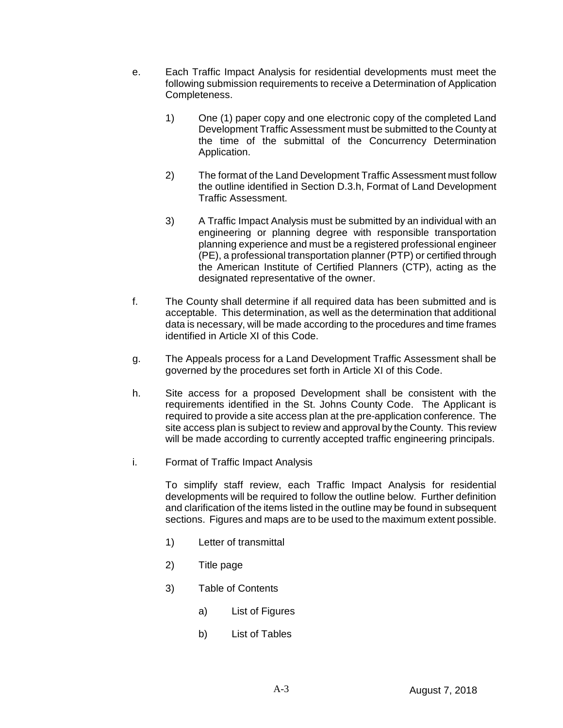- e. Each Traffic Impact Analysis for residential developments must meet the following submission requirements to receive a Determination of Application Completeness.
	- 1) One (1) paper copy and one electronic copy of the completed Land Development Traffic Assessment must be submitted to the County at the time of the submittal of the Concurrency Determination Application.
	- 2) The format of the Land Development Traffic Assessment must follow the outline identified in Section D.3.h, Format of Land Development Traffic Assessment.
	- 3) A Traffic Impact Analysis must be submitted by an individual with an engineering or planning degree with responsible transportation planning experience and must be a registered professional engineer (PE), a professional transportation planner (PTP) or certified through the American Institute of Certified Planners (CTP), acting as the designated representative of the owner.
- f. The County shall determine if all required data has been submitted and is acceptable. This determination, as well as the determination that additional data is necessary, will be made according to the procedures and time frames identified in Article XI of this Code.
- g. The Appeals process for a Land Development Traffic Assessment shall be governed by the procedures set forth in Article XI of this Code.
- h. Site access for a proposed Development shall be consistent with the requirements identified in the St. Johns County Code. The Applicant is required to provide a site access plan at the pre-application conference. The site access plan is subject to review and approval by the County. This review will be made according to currently accepted traffic engineering principals.
- i. Format of Traffic Impact Analysis

To simplify staff review, each Traffic Impact Analysis for residential developments will be required to follow the outline below. Further definition and clarification of the items listed in the outline may be found in subsequent sections. Figures and maps are to be used to the maximum extent possible.

- 1) Letter of transmittal
- 2) Title page
- 3) Table of Contents
	- a) List of Figures
	- b) List of Tables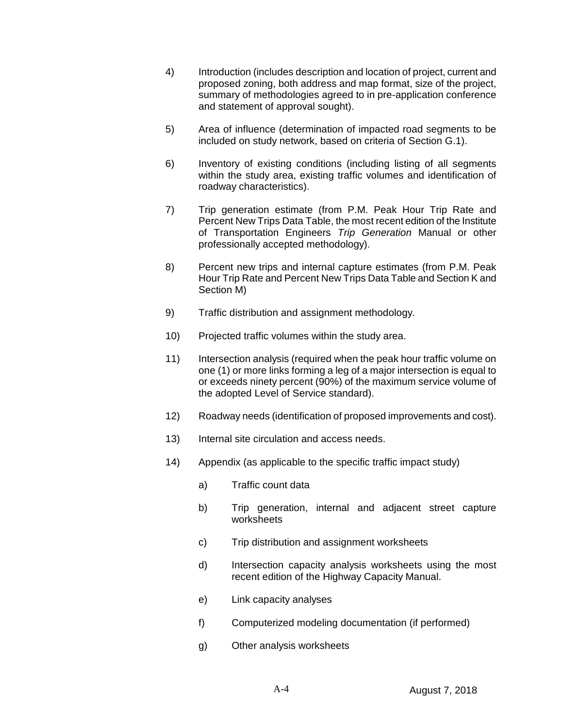- 4) Introduction (includes description and location of project, current and proposed zoning, both address and map format, size of the project, summary of methodologies agreed to in pre-application conference and statement of approval sought).
- 5) Area of influence (determination of impacted road segments to be included on study network, based on criteria of Section G.1).
- 6) Inventory of existing conditions (including listing of all segments within the study area, existing traffic volumes and identification of roadway characteristics).
- 7) Trip generation estimate (from P.M. Peak Hour Trip Rate and Percent New Trips Data Table, the most recent edition of the Institute of Transportation Engineers *Trip Generation* Manual or other professionally accepted methodology).
- 8) Percent new trips and internal capture estimates (from P.M. Peak Hour Trip Rate and Percent New Trips Data Table and Section K and Section M)
- 9) Traffic distribution and assignment methodology.
- 10) Projected traffic volumes within the study area.
- 11) Intersection analysis (required when the peak hour traffic volume on one (1) or more links forming a leg of a major intersection is equal to or exceeds ninety percent (90%) of the maximum service volume of the adopted Level of Service standard).
- 12) Roadway needs (identification of proposed improvements and cost).
- 13) Internal site circulation and access needs.
- 14) Appendix (as applicable to the specific traffic impact study)
	- a) Traffic count data
	- b) Trip generation, internal and adjacent street capture worksheets
	- c) Trip distribution and assignment worksheets
	- d) Intersection capacity analysis worksheets using the most recent edition of the Highway Capacity Manual.
	- e) Link capacity analyses
	- f) Computerized modeling documentation (if performed)
	- g) Other analysis worksheets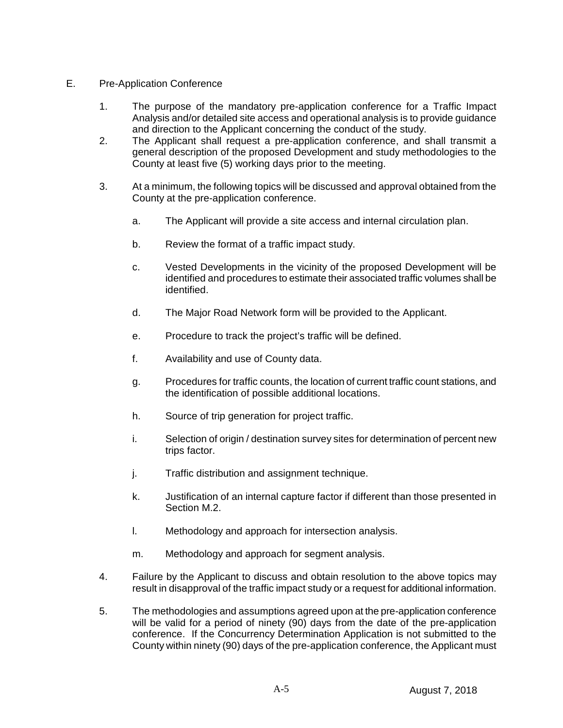- E. Pre-Application Conference
	- 1. The purpose of the mandatory pre-application conference for a Traffic Impact Analysis and/or detailed site access and operational analysis is to provide guidance and direction to the Applicant concerning the conduct of the study.
	- 2. The Applicant shall request a pre-application conference, and shall transmit a general description of the proposed Development and study methodologies to the County at least five (5) working days prior to the meeting.
	- 3. At a minimum, the following topics will be discussed and approval obtained from the County at the pre-application conference.
		- a. The Applicant will provide a site access and internal circulation plan.
		- b. Review the format of a traffic impact study.
		- c. Vested Developments in the vicinity of the proposed Development will be identified and procedures to estimate their associated traffic volumes shall be identified.
		- d. The Major Road Network form will be provided to the Applicant.
		- e. Procedure to track the project's traffic will be defined.
		- f. Availability and use of County data.
		- g. Procedures for traffic counts, the location of current traffic count stations, and the identification of possible additional locations.
		- h. Source of trip generation for project traffic.
		- i. Selection of origin / destination survey sites for determination of percent new trips factor.
		- j. Traffic distribution and assignment technique.
		- k. Justification of an internal capture factor if different than those presented in Section M.2.
		- l. Methodology and approach for intersection analysis.
		- m. Methodology and approach for segment analysis.
	- 4. Failure by the Applicant to discuss and obtain resolution to the above topics may result in disapproval of the traffic impact study or a request for additional information.
	- 5. The methodologies and assumptions agreed upon at the pre-application conference will be valid for a period of ninety (90) days from the date of the pre-application conference. If the Concurrency Determination Application is not submitted to the County within ninety (90) days of the pre-application conference, the Applicant must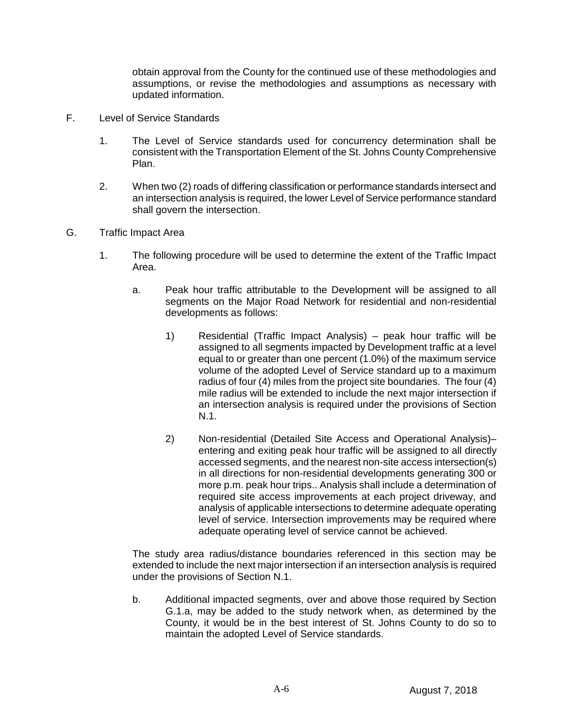obtain approval from the County for the continued use of these methodologies and assumptions, or revise the methodologies and assumptions as necessary with updated information.

- F. Level of Service Standards
	- 1. The Level of Service standards used for concurrency determination shall be consistent with the Transportation Element of the St. Johns County Comprehensive Plan.
	- 2. When two (2) roads of differing classification or performance standards intersect and an intersection analysis is required, the lower Level of Service performance standard shall govern the intersection.
- G. Traffic Impact Area
	- 1. The following procedure will be used to determine the extent of the Traffic Impact Area.
		- a. Peak hour traffic attributable to the Development will be assigned to all segments on the Major Road Network for residential and non-residential developments as follows:
			- 1) Residential (Traffic Impact Analysis) peak hour traffic will be assigned to all segments impacted by Development traffic at a level equal to or greater than one percent (1.0%) of the maximum service volume of the adopted Level of Service standard up to a maximum radius of four (4) miles from the project site boundaries. The four (4) mile radius will be extended to include the next major intersection if an intersection analysis is required under the provisions of Section N.1.
			- 2) Non-residential (Detailed Site Access and Operational Analysis)– entering and exiting peak hour traffic will be assigned to all directly accessed segments, and the nearest non-site access intersection(s) in all directions for non-residential developments generating 300 or more p.m. peak hour trips.. Analysis shall include a determination of required site access improvements at each project driveway, and analysis of applicable intersections to determine adequate operating level of service. Intersection improvements may be required where adequate operating level of service cannot be achieved.

The study area radius/distance boundaries referenced in this section may be extended to include the next major intersection if an intersection analysis is required under the provisions of Section N.1.

b. Additional impacted segments, over and above those required by Section G.1.a, may be added to the study network when, as determined by the County, it would be in the best interest of St. Johns County to do so to maintain the adopted Level of Service standards.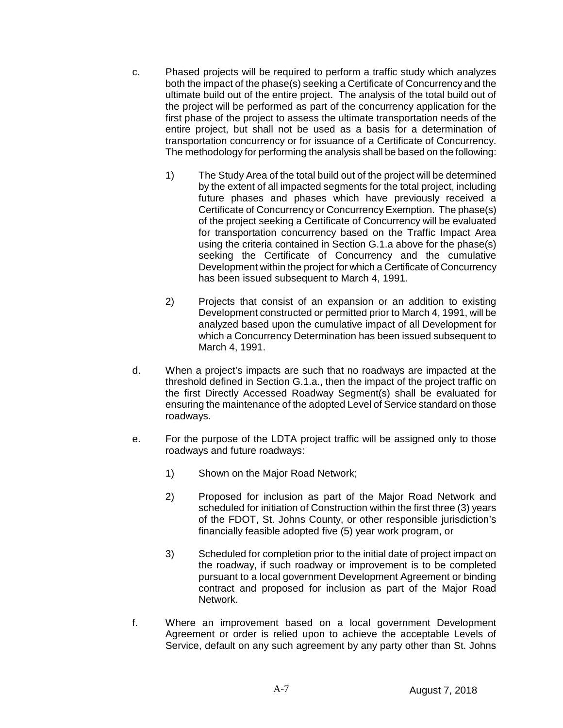- c. Phased projects will be required to perform a traffic study which analyzes both the impact of the phase(s) seeking a Certificate of Concurrency and the ultimate build out of the entire project. The analysis of the total build out of the project will be performed as part of the concurrency application for the first phase of the project to assess the ultimate transportation needs of the entire project, but shall not be used as a basis for a determination of transportation concurrency or for issuance of a Certificate of Concurrency. The methodology for performing the analysis shall be based on the following:
	- 1) The Study Area of the total build out of the project will be determined by the extent of all impacted segments for the total project, including future phases and phases which have previously received a Certificate of Concurrency or Concurrency Exemption. The phase(s) of the project seeking a Certificate of Concurrency will be evaluated for transportation concurrency based on the Traffic Impact Area using the criteria contained in Section G.1.a above for the phase(s) seeking the Certificate of Concurrency and the cumulative Development within the project for which a Certificate of Concurrency has been issued subsequent to March 4, 1991.
	- 2) Projects that consist of an expansion or an addition to existing Development constructed or permitted prior to March 4, 1991, will be analyzed based upon the cumulative impact of all Development for which a Concurrency Determination has been issued subsequent to March 4, 1991.
- d. When a project's impacts are such that no roadways are impacted at the threshold defined in Section G.1.a., then the impact of the project traffic on the first Directly Accessed Roadway Segment(s) shall be evaluated for ensuring the maintenance of the adopted Level of Service standard on those roadways.
- e. For the purpose of the LDTA project traffic will be assigned only to those roadways and future roadways:
	- 1) Shown on the Major Road Network;
	- 2) Proposed for inclusion as part of the Major Road Network and scheduled for initiation of Construction within the first three (3) years of the FDOT, St. Johns County, or other responsible jurisdiction's financially feasible adopted five (5) year work program, or
	- 3) Scheduled for completion prior to the initial date of project impact on the roadway, if such roadway or improvement is to be completed pursuant to a local government Development Agreement or binding contract and proposed for inclusion as part of the Major Road Network.
- f. Where an improvement based on a local government Development Agreement or order is relied upon to achieve the acceptable Levels of Service, default on any such agreement by any party other than St. Johns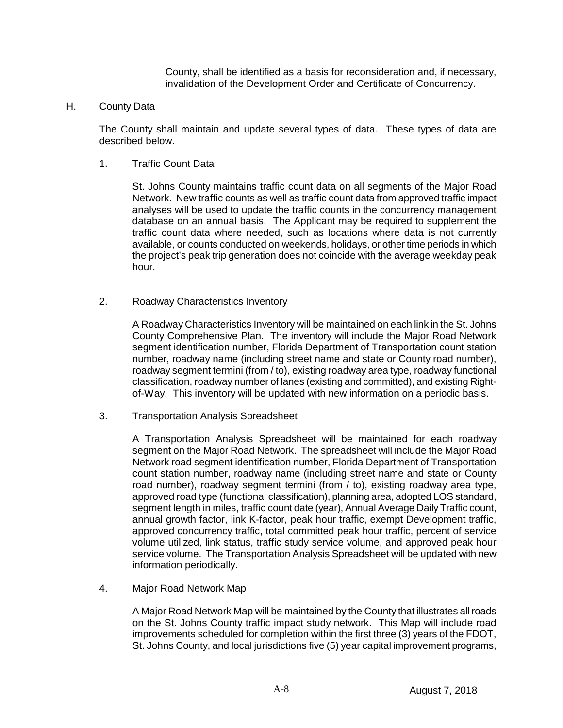County, shall be identified as a basis for reconsideration and, if necessary, invalidation of the Development Order and Certificate of Concurrency.

H. County Data

The County shall maintain and update several types of data. These types of data are described below.

1. Traffic Count Data

St. Johns County maintains traffic count data on all segments of the Major Road Network. New traffic counts as well as traffic count data from approved traffic impact analyses will be used to update the traffic counts in the concurrency management database on an annual basis. The Applicant may be required to supplement the traffic count data where needed, such as locations where data is not currently available, or counts conducted on weekends, holidays, or other time periods in which the project's peak trip generation does not coincide with the average weekday peak hour.

2. Roadway Characteristics Inventory

A Roadway Characteristics Inventory will be maintained on each link in the St. Johns County Comprehensive Plan. The inventory will include the Major Road Network segment identification number, Florida Department of Transportation count station number, roadway name (including street name and state or County road number), roadway segment termini (from / to), existing roadway area type, roadway functional classification, roadway number of lanes (existing and committed), and existing Rightof-Way. This inventory will be updated with new information on a periodic basis.

3. Transportation Analysis Spreadsheet

A Transportation Analysis Spreadsheet will be maintained for each roadway segment on the Major Road Network. The spreadsheet will include the Major Road Network road segment identification number, Florida Department of Transportation count station number, roadway name (including street name and state or County road number), roadway segment termini (from / to), existing roadway area type, approved road type (functional classification), planning area, adopted LOS standard, segment length in miles, traffic count date (year), Annual Average Daily Traffic count, annual growth factor, link K-factor, peak hour traffic, exempt Development traffic, approved concurrency traffic, total committed peak hour traffic, percent of service volume utilized, link status, traffic study service volume, and approved peak hour service volume. The Transportation Analysis Spreadsheet will be updated with new information periodically.

4. Major Road Network Map

A Major Road Network Map will be maintained by the County that illustrates all roads on the St. Johns County traffic impact study network. This Map will include road improvements scheduled for completion within the first three (3) years of the FDOT, St. Johns County, and local jurisdictions five (5) year capital improvement programs,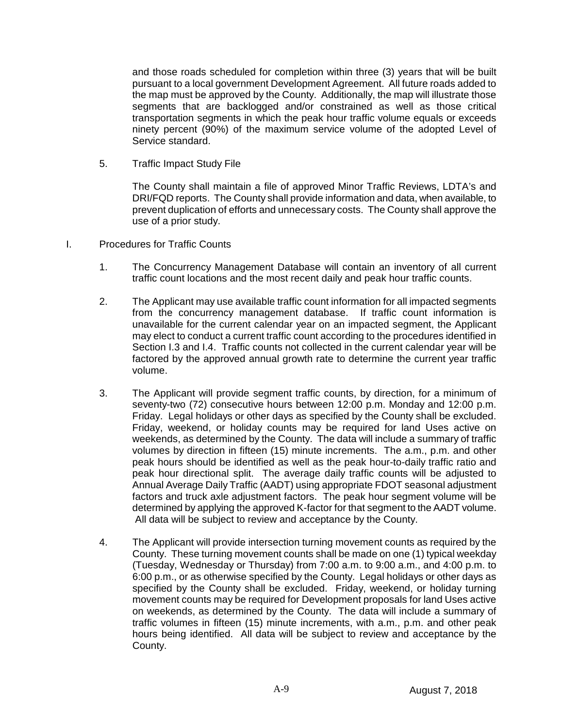and those roads scheduled for completion within three (3) years that will be built pursuant to a local government Development Agreement. All future roads added to the map must be approved by the County. Additionally, the map will illustrate those segments that are backlogged and/or constrained as well as those critical transportation segments in which the peak hour traffic volume equals or exceeds ninety percent (90%) of the maximum service volume of the adopted Level of Service standard.

5. Traffic Impact Study File

The County shall maintain a file of approved Minor Traffic Reviews, LDTA's and DRI/FQD reports. The County shall provide information and data, when available, to prevent duplication of efforts and unnecessary costs. The County shall approve the use of a prior study.

- I. Procedures for Traffic Counts
	- 1. The Concurrency Management Database will contain an inventory of all current traffic count locations and the most recent daily and peak hour traffic counts.
	- 2. The Applicant may use available traffic count information for all impacted segments from the concurrency management database. If traffic count information is unavailable for the current calendar year on an impacted segment, the Applicant may elect to conduct a current traffic count according to the procedures identified in Section I.3 and I.4. Traffic counts not collected in the current calendar year will be factored by the approved annual growth rate to determine the current year traffic volume.
	- 3. The Applicant will provide segment traffic counts, by direction, for a minimum of seventy-two (72) consecutive hours between 12:00 p.m. Monday and 12:00 p.m. Friday. Legal holidays or other days as specified by the County shall be excluded. Friday, weekend, or holiday counts may be required for land Uses active on weekends, as determined by the County. The data will include a summary of traffic volumes by direction in fifteen (15) minute increments. The a.m., p.m. and other peak hours should be identified as well as the peak hour-to-daily traffic ratio and peak hour directional split. The average daily traffic counts will be adjusted to Annual Average Daily Traffic (AADT) using appropriate FDOT seasonal adjustment factors and truck axle adjustment factors. The peak hour segment volume will be determined by applying the approved K-factor for that segment to the AADT volume. All data will be subject to review and acceptance by the County.
	- 4. The Applicant will provide intersection turning movement counts as required by the County. These turning movement counts shall be made on one (1) typical weekday (Tuesday, Wednesday or Thursday) from 7:00 a.m. to 9:00 a.m., and 4:00 p.m. to 6:00 p.m., or as otherwise specified by the County. Legal holidays or other days as specified by the County shall be excluded. Friday, weekend, or holiday turning movement counts may be required for Development proposals for land Uses active on weekends, as determined by the County. The data will include a summary of traffic volumes in fifteen (15) minute increments, with a.m., p.m. and other peak hours being identified. All data will be subject to review and acceptance by the County.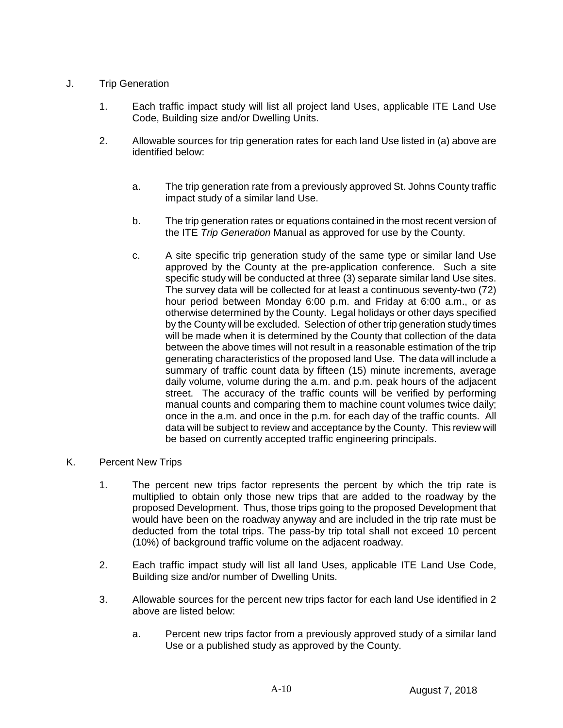## J. Trip Generation

- 1. Each traffic impact study will list all project land Uses, applicable ITE Land Use Code, Building size and/or Dwelling Units.
- 2. Allowable sources for trip generation rates for each land Use listed in (a) above are identified below:
	- a. The trip generation rate from a previously approved St. Johns County traffic impact study of a similar land Use.
	- b. The trip generation rates or equations contained in the most recent version of the ITE *Trip Generation* Manual as approved for use by the County.
	- c. A site specific trip generation study of the same type or similar land Use approved by the County at the pre-application conference. Such a site specific study will be conducted at three (3) separate similar land Use sites. The survey data will be collected for at least a continuous seventy-two (72) hour period between Monday 6:00 p.m. and Friday at 6:00 a.m., or as otherwise determined by the County. Legal holidays or other days specified by the County will be excluded. Selection of other trip generation study times will be made when it is determined by the County that collection of the data between the above times will not result in a reasonable estimation of the trip generating characteristics of the proposed land Use. The data will include a summary of traffic count data by fifteen (15) minute increments, average daily volume, volume during the a.m. and p.m. peak hours of the adjacent street. The accuracy of the traffic counts will be verified by performing manual counts and comparing them to machine count volumes twice daily; once in the a.m. and once in the p.m. for each day of the traffic counts. All data will be subject to review and acceptance by the County. This review will be based on currently accepted traffic engineering principals.

### K. Percent New Trips

- 1. The percent new trips factor represents the percent by which the trip rate is multiplied to obtain only those new trips that are added to the roadway by the proposed Development. Thus, those trips going to the proposed Development that would have been on the roadway anyway and are included in the trip rate must be deducted from the total trips. The pass-by trip total shall not exceed 10 percent (10%) of background traffic volume on the adjacent roadway.
- 2. Each traffic impact study will list all land Uses, applicable ITE Land Use Code, Building size and/or number of Dwelling Units.
- 3. Allowable sources for the percent new trips factor for each land Use identified in 2 above are listed below:
	- a. Percent new trips factor from a previously approved study of a similar land Use or a published study as approved by the County.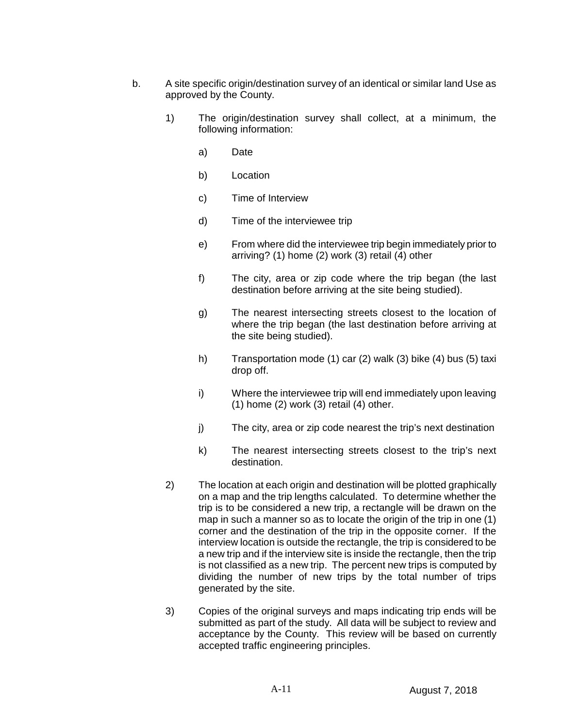- b. A site specific origin/destination survey of an identical or similar land Use as approved by the County.
	- 1) The origin/destination survey shall collect, at a minimum, the following information:
		- a) Date
		- b) Location
		- c) Time of Interview
		- d) Time of the interviewee trip
		- e) From where did the interviewee trip begin immediately prior to arriving? (1) home (2) work (3) retail (4) other
		- f) The city, area or zip code where the trip began (the last destination before arriving at the site being studied).
		- g) The nearest intersecting streets closest to the location of where the trip began (the last destination before arriving at the site being studied).
		- h) Transportation mode (1) car (2) walk (3) bike (4) bus (5) taxi drop off.
		- i) Where the interviewee trip will end immediately upon leaving  $(1)$  home  $(2)$  work  $(3)$  retail  $(4)$  other.
		- j) The city, area or zip code nearest the trip's next destination
		- k) The nearest intersecting streets closest to the trip's next destination.
	- 2) The location at each origin and destination will be plotted graphically on a map and the trip lengths calculated. To determine whether the trip is to be considered a new trip, a rectangle will be drawn on the map in such a manner so as to locate the origin of the trip in one (1) corner and the destination of the trip in the opposite corner. If the interview location is outside the rectangle, the trip is considered to be a new trip and if the interview site is inside the rectangle, then the trip is not classified as a new trip. The percent new trips is computed by dividing the number of new trips by the total number of trips generated by the site.
	- 3) Copies of the original surveys and maps indicating trip ends will be submitted as part of the study. All data will be subject to review and acceptance by the County. This review will be based on currently accepted traffic engineering principles.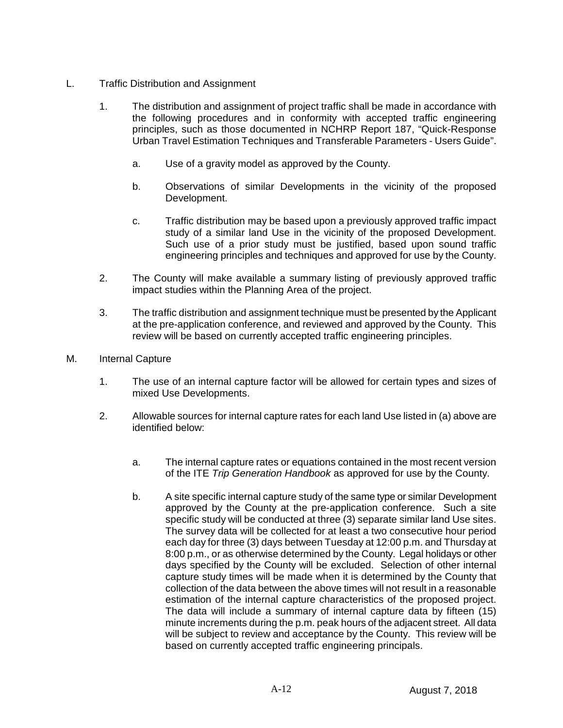- L. Traffic Distribution and Assignment
	- 1. The distribution and assignment of project traffic shall be made in accordance with the following procedures and in conformity with accepted traffic engineering principles, such as those documented in NCHRP Report 187, "Quick-Response Urban Travel Estimation Techniques and Transferable Parameters - Users Guide".
		- a. Use of a gravity model as approved by the County.
		- b. Observations of similar Developments in the vicinity of the proposed Development.
		- c. Traffic distribution may be based upon a previously approved traffic impact study of a similar land Use in the vicinity of the proposed Development. Such use of a prior study must be justified, based upon sound traffic engineering principles and techniques and approved for use by the County.
	- 2. The County will make available a summary listing of previously approved traffic impact studies within the Planning Area of the project.
	- 3. The traffic distribution and assignment technique must be presented by the Applicant at the pre-application conference, and reviewed and approved by the County. This review will be based on currently accepted traffic engineering principles.
- M. Internal Capture
	- 1. The use of an internal capture factor will be allowed for certain types and sizes of mixed Use Developments.
	- 2. Allowable sources for internal capture rates for each land Use listed in (a) above are identified below:
		- a. The internal capture rates or equations contained in the most recent version of the ITE *Trip Generation Handbook* as approved for use by the County.
		- b. A site specific internal capture study of the same type or similar Development approved by the County at the pre-application conference. Such a site specific study will be conducted at three (3) separate similar land Use sites. The survey data will be collected for at least a two consecutive hour period each day for three (3) days between Tuesday at 12:00 p.m. and Thursday at 8:00 p.m., or as otherwise determined by the County. Legal holidays or other days specified by the County will be excluded. Selection of other internal capture study times will be made when it is determined by the County that collection of the data between the above times will not result in a reasonable estimation of the internal capture characteristics of the proposed project. The data will include a summary of internal capture data by fifteen (15) minute increments during the p.m. peak hours of the adjacent street. All data will be subject to review and acceptance by the County. This review will be based on currently accepted traffic engineering principals.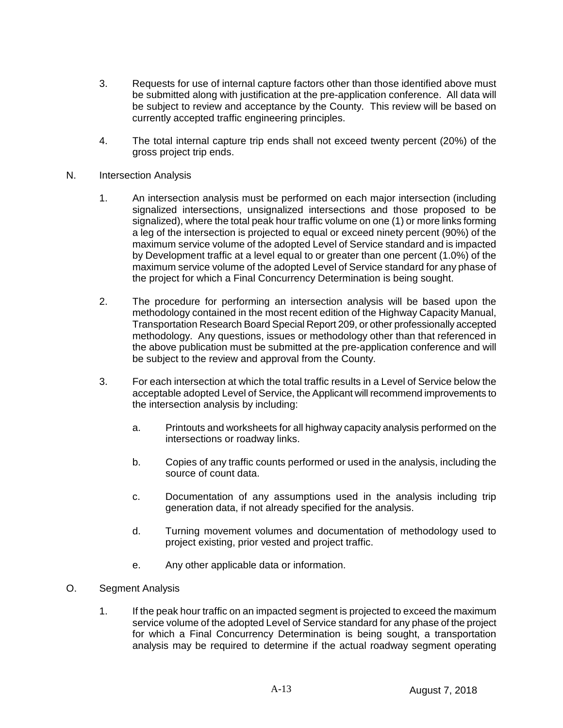- 3. Requests for use of internal capture factors other than those identified above must be submitted along with justification at the pre-application conference. All data will be subject to review and acceptance by the County. This review will be based on currently accepted traffic engineering principles.
- 4. The total internal capture trip ends shall not exceed twenty percent (20%) of the gross project trip ends.
- N. Intersection Analysis
	- 1. An intersection analysis must be performed on each major intersection (including signalized intersections, unsignalized intersections and those proposed to be signalized), where the total peak hour traffic volume on one (1) or more links forming a leg of the intersection is projected to equal or exceed ninety percent (90%) of the maximum service volume of the adopted Level of Service standard and is impacted by Development traffic at a level equal to or greater than one percent (1.0%) of the maximum service volume of the adopted Level of Service standard for any phase of the project for which a Final Concurrency Determination is being sought.
	- 2. The procedure for performing an intersection analysis will be based upon the methodology contained in the most recent edition of the Highway Capacity Manual, Transportation Research Board Special Report 209, or other professionally accepted methodology. Any questions, issues or methodology other than that referenced in the above publication must be submitted at the pre-application conference and will be subject to the review and approval from the County.
	- 3. For each intersection at which the total traffic results in a Level of Service below the acceptable adopted Level of Service, the Applicant will recommend improvements to the intersection analysis by including:
		- a. Printouts and worksheets for all highway capacity analysis performed on the intersections or roadway links.
		- b. Copies of any traffic counts performed or used in the analysis, including the source of count data.
		- c. Documentation of any assumptions used in the analysis including trip generation data, if not already specified for the analysis.
		- d. Turning movement volumes and documentation of methodology used to project existing, prior vested and project traffic.
		- e. Any other applicable data or information.
- O. Segment Analysis
	- 1. If the peak hour traffic on an impacted segment is projected to exceed the maximum service volume of the adopted Level of Service standard for any phase of the project for which a Final Concurrency Determination is being sought, a transportation analysis may be required to determine if the actual roadway segment operating